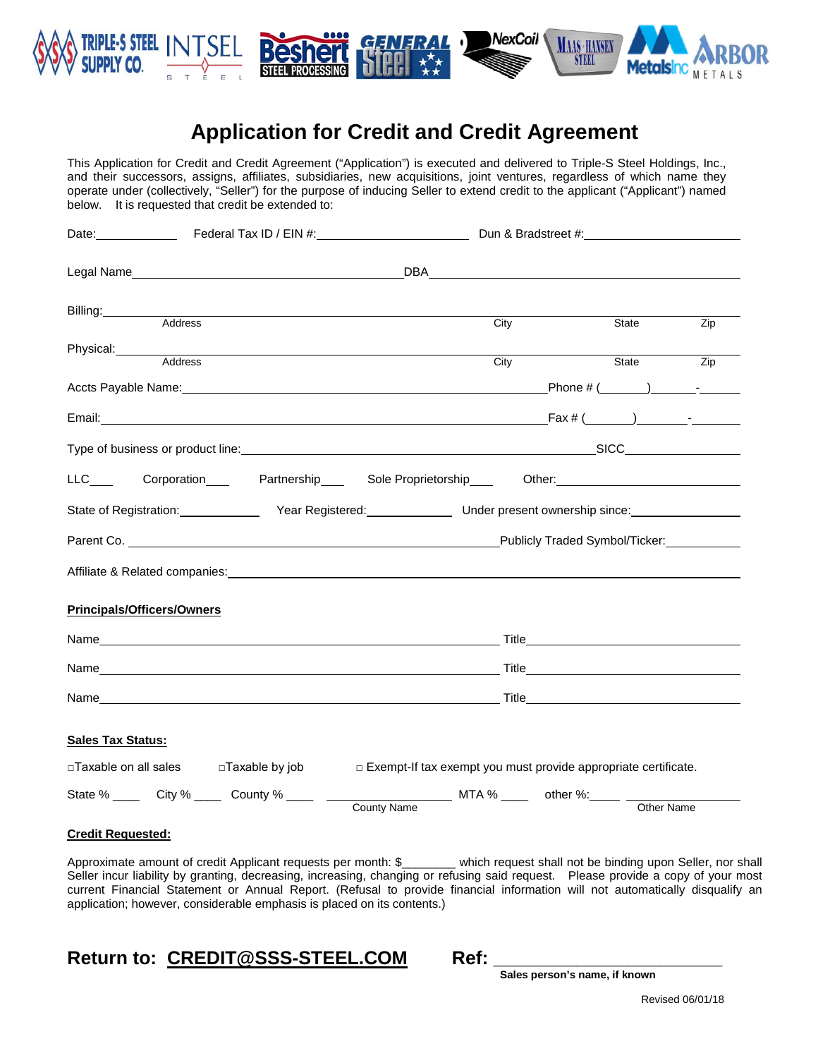

# **Application for Credit and Credit Agreement**

This Application for Credit and Credit Agreement ("Application") is executed and delivered to Triple-S Steel Holdings, Inc., and their successors, assigns, affiliates, subsidiaries, new acquisitions, joint ventures, regardless of which name they operate under (collectively, "Seller") for the purpose of inducing Seller to extend credit to the applicant ("Applicant") named below. It is requested that credit be extended to:

| Date: ________________ Federal Tax ID / EIN #:___________________________________ Dun & Bradstreet #:______________                                                                                                            |                                                                  |                                |
|--------------------------------------------------------------------------------------------------------------------------------------------------------------------------------------------------------------------------------|------------------------------------------------------------------|--------------------------------|
|                                                                                                                                                                                                                                |                                                                  |                                |
| Billing: Address Address Address Address Address Address Address Address Address Address Address Address Address Address Address Address Address Address Address Address Address Address Address Address Address Address Addre | City                                                             | State<br>Zip                   |
| Physical: Address Address                                                                                                                                                                                                      |                                                                  |                                |
|                                                                                                                                                                                                                                | City                                                             | Zip<br>State                   |
|                                                                                                                                                                                                                                |                                                                  |                                |
| Type of business or product line: example and the control of the control of the control of the control of the control of the control of the control of the control of the control of the control of the control of the control |                                                                  |                                |
| LLC____ Corporation____ Partnership___ Sole Proprietorship___ Other:_______________________________                                                                                                                            |                                                                  |                                |
| State of Registration: <u>All Year Registered:</u> Containing the Under present ownership since:                                                                                                                               |                                                                  |                                |
|                                                                                                                                                                                                                                |                                                                  | Publicly Traded Symbol/Ticker: |
| Affiliate & Related companies: Notified and the set of the set of the set of the set of the set of the set of the set of the set of the set of the set of the set of the set of the set of the set of the set of the set of th |                                                                  |                                |
| <b>Principals/Officers/Owners</b>                                                                                                                                                                                              |                                                                  |                                |
|                                                                                                                                                                                                                                |                                                                  |                                |
|                                                                                                                                                                                                                                |                                                                  |                                |
|                                                                                                                                                                                                                                |                                                                  |                                |
| <b>Sales Tax Status:</b>                                                                                                                                                                                                       |                                                                  |                                |
| $\Box$ Taxable on all sales $\Box$ Taxable by job                                                                                                                                                                              | □ Exempt-If tax exempt you must provide appropriate certificate. |                                |
|                                                                                                                                                                                                                                |                                                                  | Other Name                     |
|                                                                                                                                                                                                                                |                                                                  |                                |

**Credit Requested:**

Approximate amount of credit Applicant requests per month: \$\_\_\_\_\_\_\_\_ which request shall not be binding upon Seller, nor shall Seller incur liability by granting, decreasing, increasing, changing or refusing said request. Please provide a copy of your most current Financial Statement or Annual Report. (Refusal to provide financial information will not automatically disqualify an application; however, considerable emphasis is placed on its contents.)

# **Return to: CREDIT@SSS-STEEL.COM Ref: \_\_\_\_\_\_\_\_\_\_\_\_\_\_\_\_\_\_\_\_\_\_ Sales person's name, if known**

| ı<br>۰. |  |
|---------|--|
|         |  |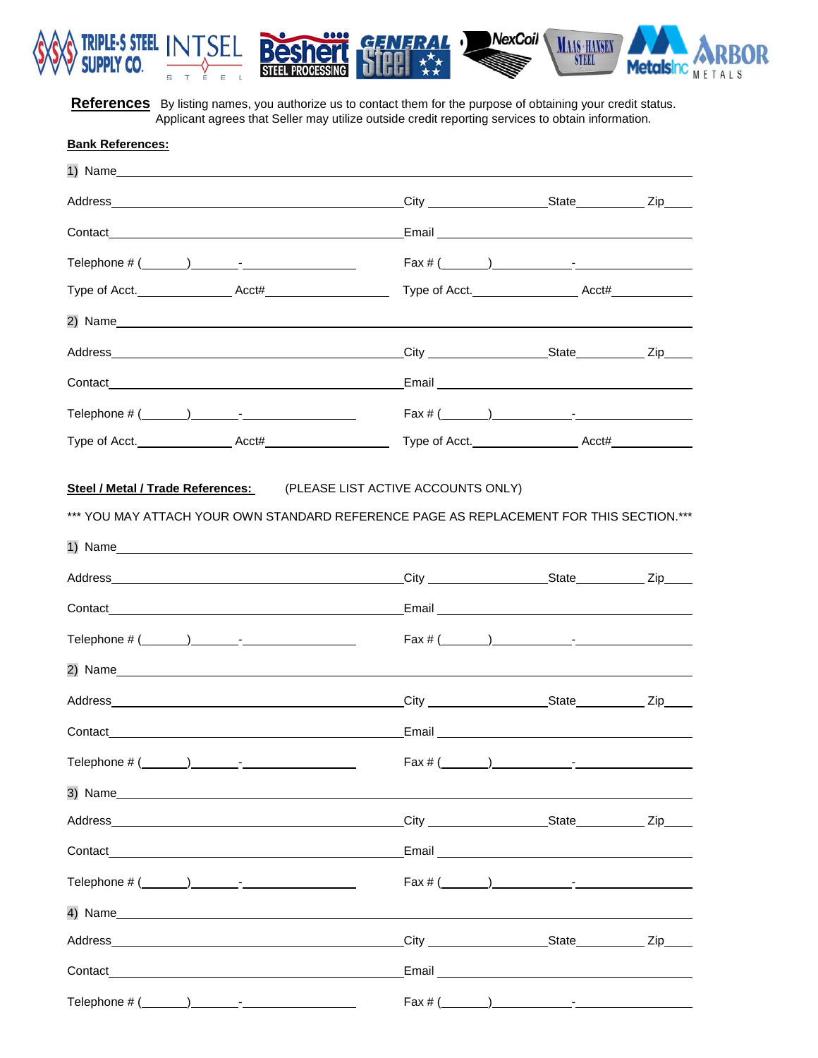

References By listing names, you authorize us to contact them for the purpose of obtaining your credit status. Applicant agrees that Seller may utilize outside credit reporting services to obtain information.

GENERAL

е

**PROCESSING** 

**Bes** 

NexCoil

 $\cdot$ 

MAAS · HANSEN

**STEEL** 

)R

Metalsing MARD

| <b>Bank References:</b> |                                                                                                                                                                                                                                |                                                                                                                |  |
|-------------------------|--------------------------------------------------------------------------------------------------------------------------------------------------------------------------------------------------------------------------------|----------------------------------------------------------------------------------------------------------------|--|
|                         |                                                                                                                                                                                                                                |                                                                                                                |  |
|                         |                                                                                                                                                                                                                                |                                                                                                                |  |
|                         |                                                                                                                                                                                                                                | Email 2008 - 2009 - 2010 - 2010 - 2010 - 2010 - 2010 - 2010 - 2010 - 2010 - 2010 - 2010 - 2010 - 2010 - 2010 - |  |
|                         |                                                                                                                                                                                                                                | $\text{Fax } \# (\_\_\_\_\_) \_\_\_\_\_$                                                                       |  |
|                         |                                                                                                                                                                                                                                |                                                                                                                |  |
|                         | 2) Name experience and the series of the series of the series of the series of the series of the series of the series of the series of the series of the series of the series of the series of the series of the series of the |                                                                                                                |  |
|                         |                                                                                                                                                                                                                                |                                                                                                                |  |
|                         |                                                                                                                                                                                                                                |                                                                                                                |  |
|                         |                                                                                                                                                                                                                                | $\text{Fax } \# (\_\_\_\_\_\_\_\_\$                                                                            |  |
|                         | Type of Acct. Acct# Acct# Acct#                                                                                                                                                                                                |                                                                                                                |  |
|                         | Steel / Metal / Trade References: (PLEASE LIST ACTIVE ACCOUNTS ONLY)<br>*** YOU MAY ATTACH YOUR OWN STANDARD REFERENCE PAGE AS REPLACEMENT FOR THIS SECTION.***                                                                |                                                                                                                |  |
|                         |                                                                                                                                                                                                                                |                                                                                                                |  |

|                                                                                                                                                                                                                                | $\text{Fax } \# (\_\_\_\_\_\_\_\_\_\_ \_\_ \_\_ \_\_ \_\_ \_\_ \_\_$ |  |
|--------------------------------------------------------------------------------------------------------------------------------------------------------------------------------------------------------------------------------|----------------------------------------------------------------------|--|
| 2) Name                                                                                                                                                                                                                        |                                                                      |  |
| Address                                                                                                                                                                                                                        | City ___________________________State _____________ Zip_____         |  |
|                                                                                                                                                                                                                                |                                                                      |  |
| Telephone $\# (\_\_\_\_\_) \_\_\_\_$ -                                                                                                                                                                                         | Fax # (                                                              |  |
|                                                                                                                                                                                                                                |                                                                      |  |
| Address and the contract of the contract of the contract of the contract of the contract of the contract of the contract of the contract of the contract of the contract of the contract of the contract of the contract of th |                                                                      |  |
|                                                                                                                                                                                                                                |                                                                      |  |
| Telephone $\#\left(\begin{array}{ccc} \cdots & \cdots \end{array}\right)$                                                                                                                                                      | $\text{Fax } \# (\_\_\_\_\_) \_\_\_\_\_\_$                           |  |
| 4) Name                                                                                                                                                                                                                        |                                                                      |  |
|                                                                                                                                                                                                                                |                                                                      |  |
|                                                                                                                                                                                                                                |                                                                      |  |
| Telephone $\# (\_\_\_\_) \_\_\_\_$                                                                                                                                                                                             |                                                                      |  |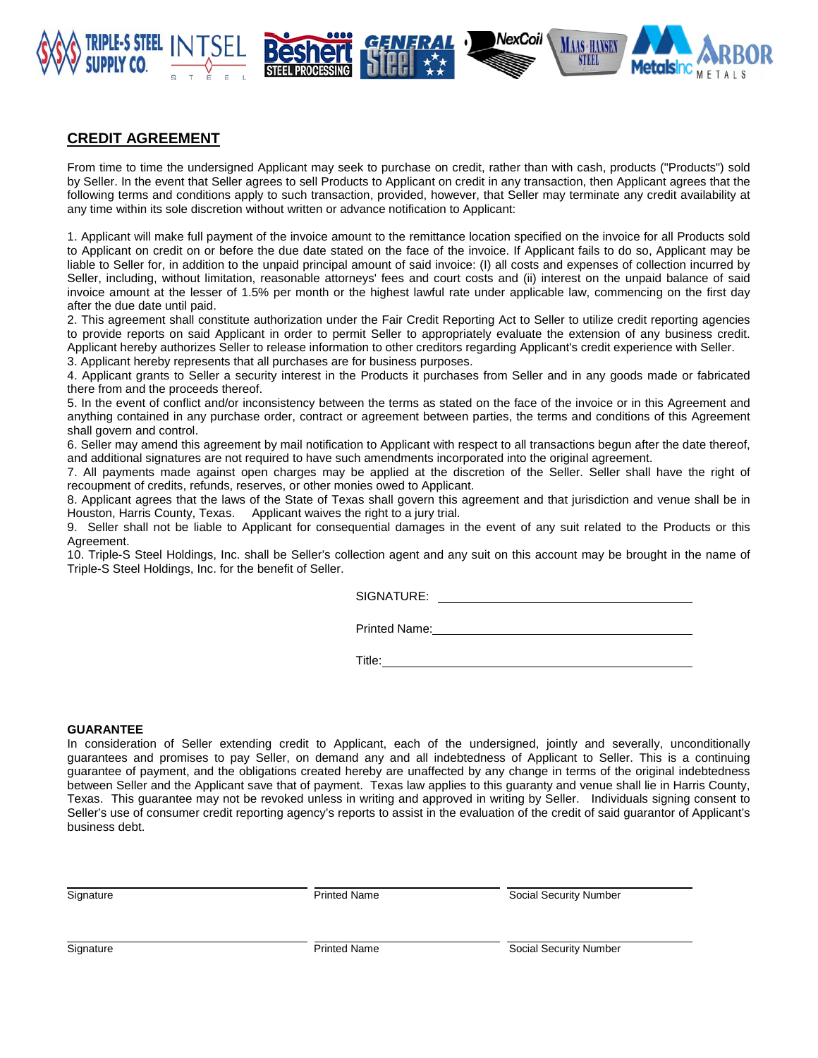

# **CREDIT AGREEMENT**

From time to time the undersigned Applicant may seek to purchase on credit, rather than with cash, products ("Products") sold by Seller. In the event that Seller agrees to sell Products to Applicant on credit in any transaction, then Applicant agrees that the following terms and conditions apply to such transaction, provided, however, that Seller may terminate any credit availability at any time within its sole discretion without written or advance notification to Applicant:

1. Applicant will make full payment of the invoice amount to the remittance location specified on the invoice for all Products sold to Applicant on credit on or before the due date stated on the face of the invoice. If Applicant fails to do so, Applicant may be liable to Seller for, in addition to the unpaid principal amount of said invoice: (I) all costs and expenses of collection incurred by Seller, including, without limitation, reasonable attorneys' fees and court costs and (ii) interest on the unpaid balance of said invoice amount at the lesser of 1.5% per month or the highest lawful rate under applicable law, commencing on the first day after the due date until paid.

2. This agreement shall constitute authorization under the Fair Credit Reporting Act to Seller to utilize credit reporting agencies to provide reports on said Applicant in order to permit Seller to appropriately evaluate the extension of any business credit. Applicant hereby authorizes Seller to release information to other creditors regarding Applicant's credit experience with Seller.

3. Applicant hereby represents that all purchases are for business purposes.

4. Applicant grants to Seller a security interest in the Products it purchases from Seller and in any goods made or fabricated there from and the proceeds thereof.

5. In the event of conflict and/or inconsistency between the terms as stated on the face of the invoice or in this Agreement and anything contained in any purchase order, contract or agreement between parties, the terms and conditions of this Agreement shall govern and control.

6. Seller may amend this agreement by mail notification to Applicant with respect to all transactions begun after the date thereof, and additional signatures are not required to have such amendments incorporated into the original agreement.

7. All payments made against open charges may be applied at the discretion of the Seller. Seller shall have the right of recoupment of credits, refunds, reserves, or other monies owed to Applicant.

8. Applicant agrees that the laws of the State of Texas shall govern this agreement and that jurisdiction and venue shall be in Houston, Harris County, Texas. Applicant waives the right to a jury trial.

9. Seller shall not be liable to Applicant for consequential damages in the event of any suit related to the Products or this Agreement.

10. Triple-S Steel Holdings, Inc. shall be Seller's collection agent and any suit on this account may be brought in the name of Triple-S Steel Holdings, Inc. for the benefit of Seller.

SIGNATURE: **SIGNATURE:** 

Printed Name:

Title:

NexCoil

#### **GUARANTEE**

In consideration of Seller extending credit to Applicant, each of the undersigned, jointly and severally, unconditionally guarantees and promises to pay Seller, on demand any and all indebtedness of Applicant to Seller. This is a continuing guarantee of payment, and the obligations created hereby are unaffected by any change in terms of the original indebtedness between Seller and the Applicant save that of payment. Texas law applies to this guaranty and venue shall lie in Harris County, Texas. This guarantee may not be revoked unless in writing and approved in writing by Seller. Individuals signing consent to Seller's use of consumer credit reporting agency's reports to assist in the evaluation of the credit of said guarantor of Applicant's business debt.

Signature **Example 20 Security Number** Printed Name **Social Security Number** Social Security Number

Signature **Example 2018** Printed Name **Printed Name** Social Security Number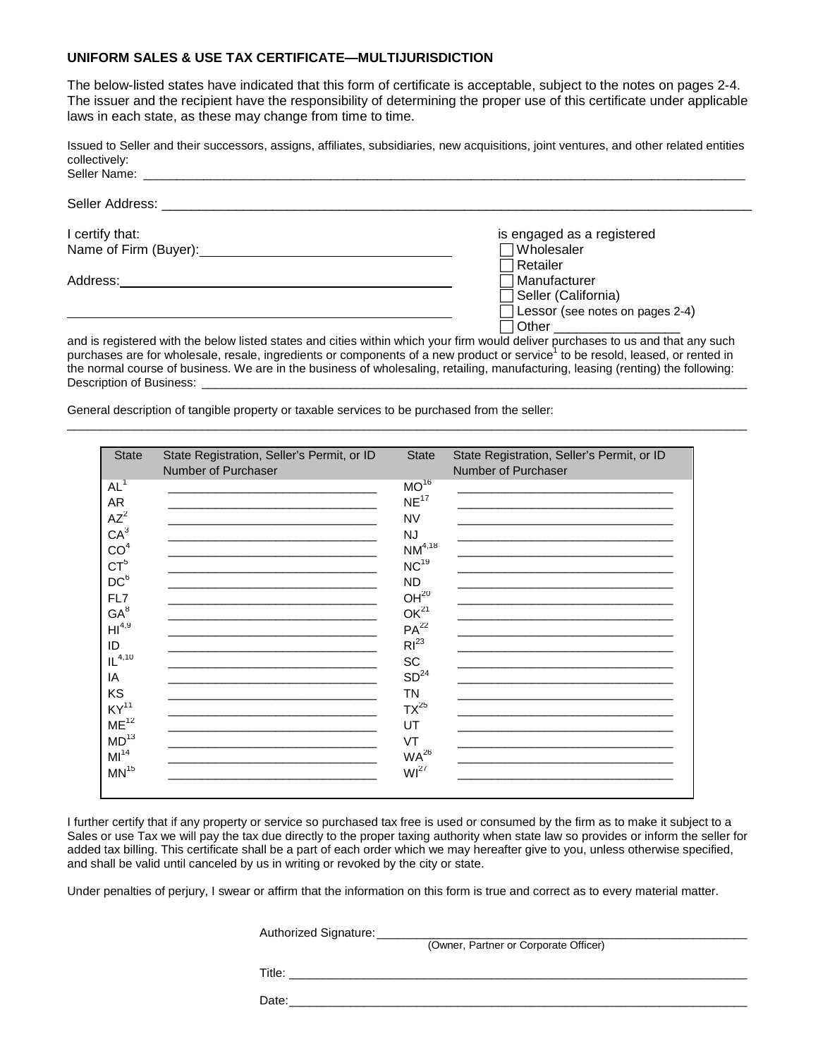#### **UNIFORM SALES & USE TAX CERTIFICATE—MULTIJURISDICTION**

The below-listed states have indicated that this form of certificate is acceptable, subject to the notes on pages 2-4. The issuer and the recipient have the responsibility of determining the proper use of this certificate under applicable laws in each state, as these may change from time to time.

Issued to Seller and their successors, assigns, affiliates, subsidiaries, new acquisitions, joint ventures, and other related entities collectively:<br>Seller Name:

| Seller Name: The Contract of the Contract of the Contract of the Contract of the Contract of the Contract of the Contract of the Contract of the Contract of the Contract of the Contract of the Contract of the Contract of t |                                                                                                                                  |
|--------------------------------------------------------------------------------------------------------------------------------------------------------------------------------------------------------------------------------|----------------------------------------------------------------------------------------------------------------------------------|
| Seller Address: The Contract of the Contract of the Contract of the Contract of the Contract of the Contract of the Contract of the Contract of the Contract of the Contract of the Contract of the Contract of the Contract o |                                                                                                                                  |
| I certify that:                                                                                                                                                                                                                | is engaged as a registered                                                                                                       |
| Name of Firm (Buyer): Manual Assembly Contact and Assembly Contact and Assembly Contact and Assembly Contact and Assembly Contact and Assembly Contact and Assembly Contact and Assembly Contact and Assembly Contact and Asse | √Wholesaler                                                                                                                      |
|                                                                                                                                                                                                                                | ∃Retailer                                                                                                                        |
|                                                                                                                                                                                                                                | ∃Manufacturer                                                                                                                    |
|                                                                                                                                                                                                                                | Seller (California)                                                                                                              |
|                                                                                                                                                                                                                                | Lessor (see notes on pages 2-4)                                                                                                  |
|                                                                                                                                                                                                                                | 7 Other __________________                                                                                                       |
|                                                                                                                                                                                                                                | and is registered with the below listed states and cities within which your firm would deliver purchases to us and that any such |

purchases are for wholesale, resale, ingredients or components of a new product or service1 to be resold, leased, or rented in the normal course of business. We are in the business of wholesaling, retailing, manufacturing, leasing (renting) the following: Description of Business:

\_\_\_\_\_\_\_\_\_\_\_\_\_\_\_\_\_\_\_\_\_\_\_\_\_\_\_\_\_\_\_\_\_\_\_\_\_\_\_\_\_\_\_\_\_\_\_\_\_\_\_\_\_\_\_\_\_\_\_\_\_\_\_\_\_\_\_\_\_\_\_\_\_\_\_\_\_\_\_\_\_\_\_\_\_\_\_\_\_\_\_\_\_\_\_\_\_\_\_\_\_

General description of tangible property or taxable services to be purchased from the seller:

| <b>State</b>     | State Registration, Seller's Permit, or ID | <b>State</b>     | State Registration, Seller's Permit, or ID |
|------------------|--------------------------------------------|------------------|--------------------------------------------|
|                  | Number of Purchaser                        |                  | Number of Purchaser                        |
| $AL^1$           |                                            | $MO^{16}$        |                                            |
| <b>AR</b>        |                                            | NE <sup>17</sup> |                                            |
| $AZ^2$           |                                            | <b>NV</b>        |                                            |
| CA <sup>3</sup>  |                                            | <b>NJ</b>        |                                            |
| CO <sup>4</sup>  |                                            | $NM^{4,18}$      |                                            |
| $CT^5$           |                                            | NC <sup>19</sup> |                                            |
| DC <sup>6</sup>  |                                            | <b>ND</b>        |                                            |
| FL7              |                                            | OH <sup>20</sup> |                                            |
| $GA^8$           |                                            | OK <sup>21</sup> |                                            |
| $H1^{4,9}$       |                                            | $PA^{22}$        |                                            |
| ID               |                                            | $RI^{23}$        |                                            |
| $IL^{4,10}$      |                                            | <b>SC</b>        |                                            |
| ΙA               |                                            | SD <sup>24</sup> |                                            |
| KS               |                                            | <b>TN</b>        |                                            |
| KY <sup>11</sup> |                                            | $TX^{25}$        |                                            |
| ME <sup>12</sup> |                                            | UT               |                                            |
| MD <sup>13</sup> |                                            | VT               |                                            |
| MI <sup>14</sup> |                                            | $WA^{26}$        |                                            |
| MN <sup>15</sup> |                                            | WI <sup>27</sup> |                                            |
|                  |                                            |                  |                                            |

I further certify that if any property or service so purchased tax free is used or consumed by the firm as to make it subject to a Sales or use Tax we will pay the tax due directly to the proper taxing authority when state law so provides or inform the seller for added tax billing. This certificate shall be a part of each order which we may hereafter give to you, unless otherwise specified, and shall be valid until canceled by us in writing or revoked by the city or state.

Under penalties of perjury, I swear or affirm that the information on this form is true and correct as to every material matter.

| Authorized Signature: |                                       |  |
|-----------------------|---------------------------------------|--|
|                       | (Owner, Partner or Corporate Officer) |  |
| Title:                |                                       |  |
| Date:                 |                                       |  |